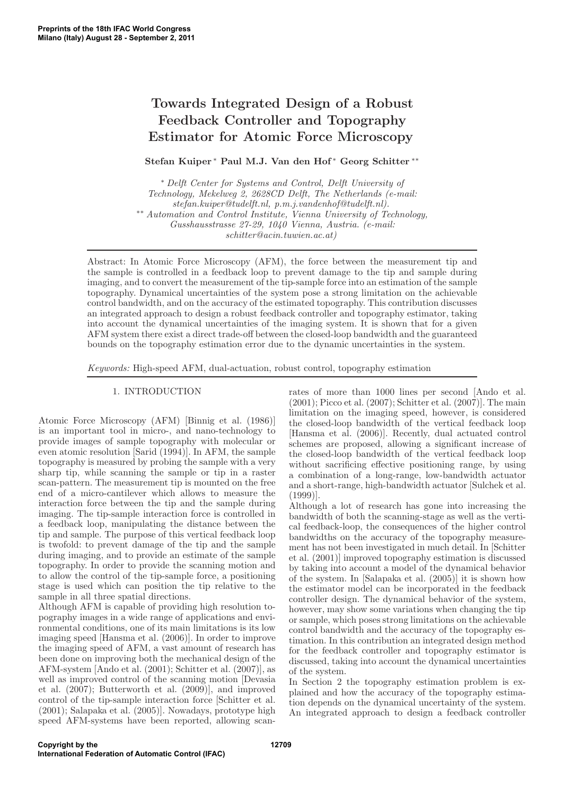# Towards Integrated Design of a Robust Feedback Controller and Topography Estimator for Atomic Force Microscopy

Stefan Kuiper <sup>∗</sup> Paul M.J. Van den Hof <sup>∗</sup> Georg Schitter <sup>\*\*</sup>

<sup>∗</sup> Delft Center for Systems and Control, Delft University of Technology, Mekelweg 2, 2628CD Delft, The Netherlands (e-mail: stefan.kuiper@tudelft.nl, p.m.j.vandenhof@tudelft.nl). ∗∗ Automation and Control Institute, Vienna University of Technology, Gusshausstrasse 27-29, 1040 Vienna, Austria. (e-mail: schitter@acin.tuwien.ac.at)

Abstract: In Atomic Force Microscopy (AFM), the force between the measurement tip and the sample is controlled in a feedback loop to prevent damage to the tip and sample during imaging, and to convert the measurement of the tip-sample force into an estimation of the sample topography. Dynamical uncertainties of the system pose a strong limitation on the achievable control bandwidth, and on the accuracy of the estimated topography. This contribution discusses an integrated approach to design a robust feedback controller and topography estimator, taking into account the dynamical uncertainties of the imaging system. It is shown that for a given AFM system there exist a direct trade-off between the closed-loop bandwidth and the guaranteed bounds on the topography estimation error due to the dynamic uncertainties in the system.

Keywords: High-speed AFM, dual-actuation, robust control, topography estimation

# 1. INTRODUCTION

Atomic Force Microscopy (AFM) [Binnig et al. (1986)] is an important tool in micro-, and nano-technology to provide images of sample topography with molecular or even atomic resolution [Sarid (1994)]. In AFM, the sample topography is measured by probing the sample with a very sharp tip, while scanning the sample or tip in a raster scan-pattern. The measurement tip is mounted on the free end of a micro-cantilever which allows to measure the interaction force between the tip and the sample during imaging. The tip-sample interaction force is controlled in a feedback loop, manipulating the distance between the tip and sample. The purpose of this vertical feedback loop is twofold: to prevent damage of the tip and the sample during imaging, and to provide an estimate of the sample topography. In order to provide the scanning motion and to allow the control of the tip-sample force, a positioning stage is used which can position the tip relative to the sample in all three spatial directions.

Although AFM is capable of providing high resolution topography images in a wide range of applications and environmental conditions, one of its main limitations is its low imaging speed [Hansma et al. (2006)]. In order to improve the imaging speed of AFM, a vast amount of research has been done on improving both the mechanical design of the AFM-system [Ando et al. (2001); Schitter et al. (2007)], as well as improved control of the scanning motion [Devasia et al. (2007); Butterworth et al. (2009)], and improved control of the tip-sample interaction force [Schitter et al. (2001); Salapaka et al. (2005)]. Nowadays, prototype high speed AFM-systems have been reported, allowing scanrates of more than 1000 lines per second [Ando et al.  $(2001)$ ; Picco et al.  $(2007)$ ; Schitter et al.  $(2007)$ ]. The main limitation on the imaging speed, however, is considered the closed-loop bandwidth of the vertical feedback loop [Hansma et al. (2006)]. Recently, dual actuated control schemes are proposed, allowing a significant increase of the closed-loop bandwidth of the vertical feedback loop without sacrificing effective positioning range, by using a combination of a long-range, low-bandwidth actuator and a short-range, high-bandwidth actuator [Sulchek et al. (1999)].

Although a lot of research has gone into increasing the bandwidth of both the scanning-stage as well as the vertical feedback-loop, the consequences of the higher control bandwidths on the accuracy of the topography measurement has not been investigated in much detail. In [Schitter et al. (2001)] improved topography estimation is discussed by taking into account a model of the dynamical behavior of the system. In [Salapaka et al. (2005)] it is shown how the estimator model can be incorporated in the feedback controller design. The dynamical behavior of the system, however, may show some variations when changing the tip or sample, which poses strong limitations on the achievable control bandwidth and the accuracy of the topography estimation. In this contribution an integrated design method for the feedback controller and topography estimator is discussed, taking into account the dynamical uncertainties of the system.

In Section 2 the topography estimation problem is explained and how the accuracy of the topography estimation depends on the dynamical uncertainty of the system. An integrated approach to design a feedback controller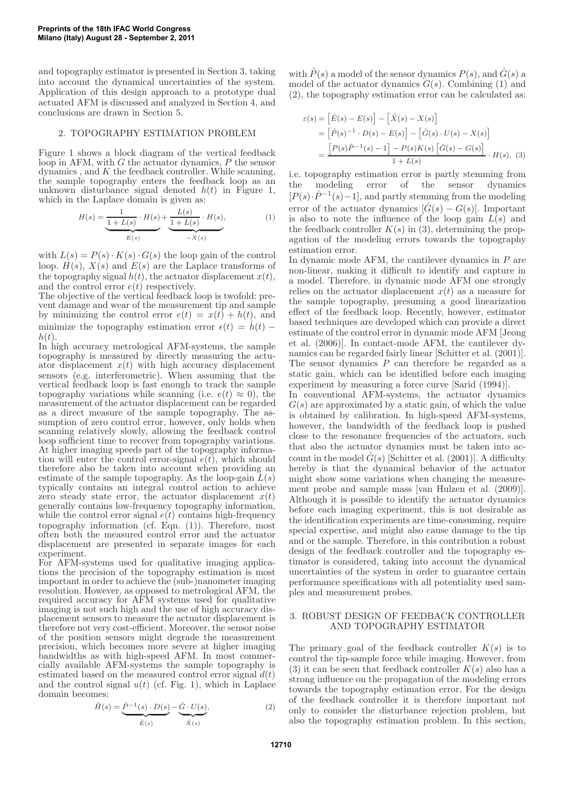and topography estimator is presented in Section 3, taking into account the dynamical uncertainties of the system. Application of this design approach to a prototype dual actuated AFM is discussed and analyzed in Section 4, and conclusions are drawn in Section 5.

## 2. TOPOGRAPHY ESTIMATION PROBLEM

Figure 1 shows a block diagram of the vertical feedback loop in AFM, with  $G$  the actuator dynamics,  $P$  the sensor dynamics, and  $K$  the feedback controller. While scanning, the sample topography enters the feedback loop as an unknown disturbance signal denoted  $h(t)$  in Figure 1, which in the Laplace domain is given as:

$$
H(s) = \underbrace{\frac{1}{1 + L(s)} \cdot H(s)}_{E(s)} + \underbrace{\frac{L(s)}{1 + L(s)} \cdot H(s)}_{-X(s)},
$$
(1)

with  $L(s) = P(s) \cdot K(s) \cdot G(s)$  the loop gain of the control loop.  $H(s)$ ,  $X(s)$  and  $E(s)$  are the Laplace transforms of the topography signal  $h(t)$ , the actuator displacement  $x(t)$ , and the control error  $e(t)$  respectively.

The objective of the vertical feedback loop is twofold: prevent damage and wear of the measurement tip and sample by minimizing the control error  $e(t) = x(t) + h(t)$ , and minimize the topography estimation error  $\epsilon(t) = \hat{h}(t)$  –  $h(t)$ .

In high accuracy metrological AFM-systems, the sample topography is measured by directly measuring the actuator displacement  $x(t)$  with high accuracy displacement sensors (e.g. interferometric). When assuming that the vertical feedback loop is fast enough to track the sample topography variations while scanning (i.e.  $e(t) \approx 0$ ), the measurement of the actuator displacement can be regarded as a direct measure of the sample topography. The assumption of zero control error, however, only holds when scanning relatively slowly, allowing the feedback control loop sufficient time to recover from topography variations. At higher imaging speeds part of the topography information will enter the control error-signal  $\hat{e}(t)$ , which should therefore also be taken into account when providing an estimate of the sample topography. As the loop-gain  $\overline{L}(s)$ typically contains an integral control action to achieve zero steady state error, the actuator displacement  $x(t)$ generally contains low-frequency topography information, while the control error signal  $e(t)$  contains high-frequency topography information (cf. Eqn. (1)). Therefore, most often both the measured control error and the actuator displacement are presented in separate images for each experiment.

For AFM-systems used for qualitative imaging applications the precision of the topography estimation is most important in order to achieve the (sub-)nanometer imaging resolution. However, as opposed to metrological AFM, the required accuracy for AFM systems used for qualitative imaging is not such high and the use of high accuracy displacement sensors to measure the actuator displacement is therefore not very cost-efficient. Moreover, the sensor noise of the position sensors might degrade the measurement precision, which becomes more severe at higher imaging bandwidths as with high-speed AFM. In most commercially available AFM-systems the sample topography is estimated based on the measured control error signal  $d(t)$ and the control signal  $u(t)$  (cf. Fig. 1), which in Laplace domain becomes:

$$
\hat{H}(s) = \underbrace{\hat{P}^{-1}(s) \cdot D(s)}_{\hat{E}(s)} - \underbrace{\hat{G} \cdot U(s)}_{\hat{X}(s)},
$$
\n(2)

with  $\tilde{P}(s)$  a model of the sensor dynamics  $P(s)$ , and  $\tilde{G}(s)$  a model of the actuator dynamics  $G(s)$ . Combining (1) and (2), the topography estimation error can be calculated as:

$$
\varepsilon(s) = \left[\hat{E}(s) - E(s)\right] - \left[\hat{X}(s) - X(s)\right] \n= \left[\hat{P}(s)^{-1} \cdot D(s) - E(s)\right] - \left[\hat{G}(s) \cdot U(s) - X(s)\right] \n= \frac{\left[P(s)\hat{P}^{-1}(s) - 1\right] - P(s)K(s)\left[\hat{G}(s) - G(s)\right]}{1 + L(s)} \cdot H(s), \quad (3)
$$

i.e. topography estimation error is partly stemming from the modeling error of the sensor dynamics  $[P(s) \cdot \hat{P}^{-1}(s) - 1]$ , and partly stemming from the modeling error of the actuator dynamics  $[\hat{G}(s) - G(s)]$ . Important is also to note the influence of the loop gain  $L(s)$  and the feedback controller  $K(s)$  in (3), determining the propagation of the modeling errors towards the topography estimation error.

In dynamic mode AFM, the cantilever dynamics in P are non-linear, making it difficult to identify and capture in a model. Therefore, in dynamic mode AFM one strongly relies on the actuator displacement  $x(t)$  as a measure for the sample topography, presuming a good linearization effect of the feedback loop. Recently, however, estimator based techniques are developed which can provide a direct estimate of the control error in dynamic mode AFM [Jeong et al. (2006)]. In contact-mode AFM, the cantilever dynamics can be regarded fairly linear [Schitter et al. (2001)]. The sensor dynamics  $P$  can therefore be regarded as a static gain, which can be identified before each imaging experiment by measuring a force curve [Sarid (1994)].

In conventional AFM-systems, the actuator dynamics  $G(s)$  are approximated by a static gain, of which the value is obtained by calibration. In high-speed AFM-systems, however, the bandwidth of the feedback loop is pushed close to the resonance frequencies of the actuators, such that also the actuator dynamics must be taken into account in the model  $\hat{G}(s)$  [Schitter et al. (2001)]. A difficulty hereby is that the dynamical behavior of the actuator might show some variations when changing the measurement probe and sample mass [van Hulzen et al. (2009)]. Although it is possible to identify the actuator dynamics before each imaging experiment, this is not desirable as the identification experiments are time-consuming, require special expertise, and might also cause damage to the tip and or the sample. Therefore, in this contribution a robust design of the feedback controller and the topography estimator is considered, taking into account the dynamical uncertainties of the system in order to guarantee certain performance specifications with all potentiality used samples and measurement probes.

# 3. ROBUST DESIGN OF FEEDBACK CONTROLLER AND TOPOGRAPHY ESTIMATOR

The primary goal of the feedback controller  $K(s)$  is to control the tip-sample force while imaging. However, from (3) it can be seen that feedback controller  $K(s)$  also has a strong influence on the propagation of the modeling errors towards the topography estimation error. For the design of the feedback controller it is therefore important not only to consider the disturbance rejection problem, but also the topography estimation problem. In this section,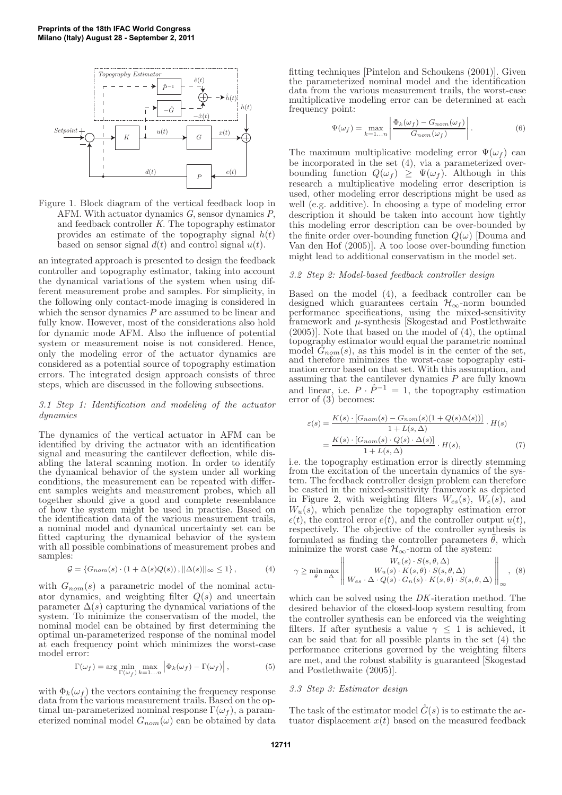

Figure 1. Block diagram of the vertical feedback loop in AFM. With actuator dynamics G, sensor dynamics P, and feedback controller K. The topography estimator provides an estimate of the topography signal  $h(t)$ based on sensor signal  $d(t)$  and control signal  $u(t)$ .

an integrated approach is presented to design the feedback controller and topography estimator, taking into account the dynamical variations of the system when using different measurement probe and samples. For simplicity, in the following only contact-mode imaging is considered in which the sensor dynamics  $P$  are assumed to be linear and fully know. However, most of the considerations also hold for dynamic mode AFM. Also the influence of potential system or measurement noise is not considered. Hence, only the modeling error of the actuator dynamics are considered as a potential source of topography estimation errors. The integrated design approach consists of three steps, which are discussed in the following subsections.

#### 3.1 Step 1: Identification and modeling of the actuator dynamics

The dynamics of the vertical actuator in AFM can be identified by driving the actuator with an identification signal and measuring the cantilever deflection, while disabling the lateral scanning motion. In order to identify the dynamical behavior of the system under all working conditions, the measurement can be repeated with different samples weights and measurement probes, which all together should give a good and complete resemblance of how the system might be used in practise. Based on the identification data of the various measurement trails, a nominal model and dynamical uncertainty set can be fitted capturing the dynamical behavior of the system with all possible combinations of measurement probes and samples:

$$
\mathcal{G} = \{G_{nom}(s) \cdot (1 + \Delta(s)Q(s)), ||\Delta(s)||_{\infty} \le 1\},\tag{4}
$$

with  $G_{nom}(s)$  a parametric model of the nominal actuator dynamics, and weighting filter  $Q(s)$  and uncertain parameter  $\Delta(s)$  capturing the dynamical variations of the system. To minimize the conservatism of the model, the nominal model can be obtained by first determining the optimal un-parameterized response of the nominal model at each frequency point which minimizes the worst-case model error:

$$
\Gamma(\omega_f) = \arg\min_{\Gamma(\omega_f)} \max_{k=1...n} \left| \Phi_k(\omega_f) - \Gamma(\omega_f) \right|, \tag{5}
$$

with  $\Phi_k(\omega_f)$  the vectors containing the frequency response data from the various measurement trails. Based on the optimal un-parameterized nominal response  $\Gamma(\omega_f)$ , a parameterized nominal model  $G_{nom}(\omega)$  can be obtained by data

fitting techniques [Pintelon and Schoukens (2001)]. Given the parameterized nominal model and the identification data from the various measurement trails, the worst-case multiplicative modeling error can be determined at each frequency point:

$$
\Psi(\omega_f) = \max_{k=1...n} \left| \frac{\Phi_k(\omega_f) - G_{nom}(\omega_f)}{G_{nom}(\omega_f)} \right|.
$$
\n(6)

The maximum multiplicative modeling error  $\Psi(\omega_f)$  can be incorporated in the set (4), via a parameterized overbounding function  $Q(\omega_f) \geq \Psi(\omega_f)$ . Although in this research a multiplicative modeling error description is used, other modeling error descriptions might be used as well (e.g. additive). In choosing a type of modeling error description it should be taken into account how tightly this modeling error description can be over-bounded by the finite order over-bounding function  $Q(\omega)$  [Douma and Van den Hof (2005)]. A too loose over-bounding function might lead to additional conservatism in the model set.

#### 3.2 Step 2: Model-based feedback controller design

Based on the model (4), a feedback controller can be designed which guarantees certain  $\mathcal{H}_{\infty}$ -norm bounded performance specifications, using the mixed-sensitivity framework and  $\mu$ -synthesis [Skogestad and Postlethwaite (2005)]. Note that based on the model of (4), the optimal topography estimator would equal the parametric nominal model  $G_{nom}(s)$ , as this model is in the center of the set, and therefore minimizes the worst-case topography estimation error based on that set. With this assumption, and assuming that the cantilever dynamics  $P$  are fully known and linear, i.e.  $P \cdot \hat{P}^{-1} = 1$ , the topography estimation error of (3) becomes:

$$
\varepsilon(s) = \frac{K(s) \cdot [G_{nom}(s) - G_{nom}(s)(1 + Q(s)\Delta(s))]}{1 + L(s, \Delta)} \cdot H(s)
$$

$$
= \frac{K(s) \cdot [G_{nom}(s) \cdot Q(s) \cdot \Delta(s)]}{1 + L(s, \Delta)} \cdot H(s), \tag{7}
$$

i.e. the topography estimation error is directly stemming from the excitation of the uncertain dynamics of the system. The feedback controller design problem can therefore be casted in the mixed-sensitivity framework as depicted in Figure 2, with weighting filters  $W_{es}(s)$ ,  $W_e(s)$ , and  $W_u(s)$ , which penalize the topography estimation error  $\epsilon(t)$ , the control error  $e(t)$ , and the controller output  $u(t)$ , respectively. The objective of the controller synthesis is formulated as finding the controller parameters  $\theta$ , which minimize the worst case  $\mathcal{H}_{\infty}$ -norm of the system:

$$
\gamma \ge \min_{\theta} \max_{\Delta} \left\| \frac{W_e(s) \cdot S(s, \theta, \Delta)}{W_u(s) \cdot K(s, \theta) \cdot S(s, \theta, \Delta)} \right\|_{\infty}, \quad (8)
$$

which can be solved using the *DK*-iteration method. The desired behavior of the closed-loop system resulting from the controller synthesis can be enforced via the weighting filters. If after synthesis a value  $\gamma \leq 1$  is achieved, it can be said that for all possible plants in the set (4) the performance criterions governed by the weighting filters are met, and the robust stability is guaranteed [Skogestad and Postlethwaite (2005)].

#### 3.3 Step 3: Estimator design

The task of the estimator model  $\hat{G}(s)$  is to estimate the actuator displacement  $x(t)$  based on the measured feedback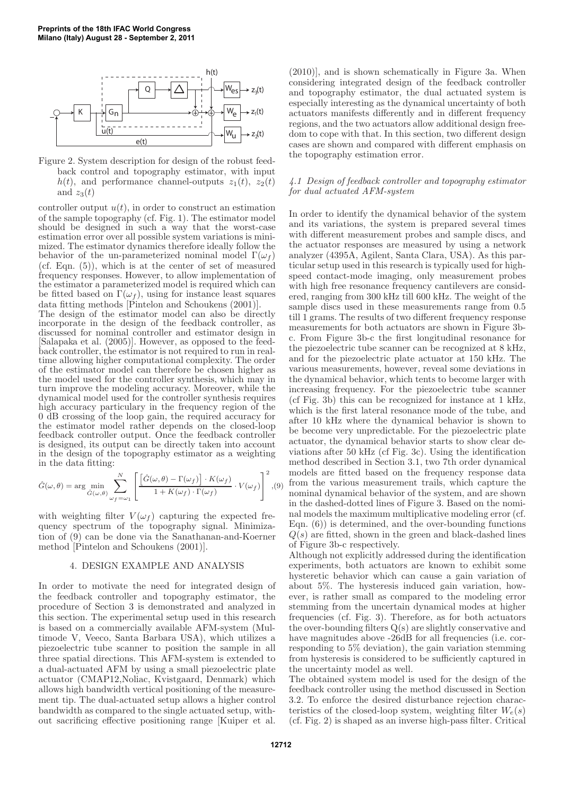

Figure 2. System description for design of the robust feedback control and topography estimator, with input  $h(t)$ , and performance channel-outputs  $z_1(t)$ ,  $z_2(t)$ and  $z_3(t)$ 

controller output  $u(t)$ , in order to construct an estimation of the sample topography (cf. Fig. 1). The estimator model should be designed in such a way that the worst-case estimation error over all possible system variations is minimized. The estimator dynamics therefore ideally follow the behavior of the un-parameterized nominal model  $\Gamma(\omega_f)$ (cf. Eqn. (5)), which is at the center of set of measured frequency responses. However, to allow implementation of the estimator a parameterized model is required which can be fitted based on  $\Gamma(\omega_f)$ , using for instance least squares data fitting methods [Pintelon and Schoukens (2001)]. The design of the estimator model can also be directly incorporate in the design of the feedback controller, as discussed for nominal controller and estimator design in [Salapaka et al. (2005)]. However, as opposed to the feedback controller, the estimator is not required to run in realtime allowing higher computational complexity. The order of the estimator model can therefore be chosen higher as the model used for the controller synthesis, which may in turn improve the modeling accuracy. Moreover, while the dynamical model used for the controller synthesis requires high accuracy particulary in the frequency region of the 0 dB crossing of the loop gain, the required accuracy for the estimator model rather depends on the closed-loop feedback controller output. Once the feedback controller is designed, its output can be directly taken into account in the design of the topography estimator as a weighting in the data fitting:

$$
\hat{G}(\omega,\theta) = \arg\min_{\hat{G}(\omega,\theta)} \sum_{\omega_f=\omega_1}^N \left[ \frac{\left[\hat{G}(\omega,\theta) - \Gamma(\omega_f)\right] \cdot K(\omega_f)}{1 + K(\omega_f) \cdot \Gamma(\omega_f)} \cdot V(\omega_f) \right]^2, (9)
$$

with weighting filter  $V(\omega_f)$  capturing the expected frequency spectrum of the topography signal. Minimization of (9) can be done via the Sanathanan-and-Koerner method [Pintelon and Schoukens (2001)].

#### 4. DESIGN EXAMPLE AND ANALYSIS

In order to motivate the need for integrated design of the feedback controller and topography estimator, the procedure of Section 3 is demonstrated and analyzed in this section. The experimental setup used in this research is based on a commercially available AFM-system (Multimode V, Veeco, Santa Barbara USA), which utilizes a piezoelectric tube scanner to position the sample in all three spatial directions. This AFM-system is extended to a dual-actuated AFM by using a small piezoelectric plate actuator (CMAP12,Noliac, Kvistgaard, Denmark) which allows high bandwidth vertical positioning of the measurement tip. The dual-actuated setup allows a higher control bandwidth as compared to the single actuated setup, without sacrificing effective positioning range [Kuiper et al.

(2010)], and is shown schematically in Figure 3a. When considering integrated design of the feedback controller and topography estimator, the dual actuated system is especially interesting as the dynamical uncertainty of both actuators manifests differently and in different frequency regions, and the two actuators allow additional design freedom to cope with that. In this section, two different design cases are shown and compared with different emphasis on the topography estimation error.

## 4.1 Design of feedback controller and topography estimator for dual actuated AFM-system

In order to identify the dynamical behavior of the system and its variations, the system is prepared several times with different measurement probes and sample discs, and the actuator responses are measured by using a network analyzer (4395A, Agilent, Santa Clara, USA). As this particular setup used in this research is typically used for highspeed contact-mode imaging, only measurement probes with high free resonance frequency cantilevers are considered, ranging from 300 kHz till 600 kHz. The weight of the sample discs used in these measurements range from 0.5 till 1 grams. The results of two different frequency response measurements for both actuators are shown in Figure 3bc. From Figure 3b-c the first longitudinal resonance for the piezoelectric tube scanner can be recognized at 8 kHz, and for the piezoelectric plate actuator at 150 kHz. The various measurements, however, reveal some deviations in the dynamical behavior, which tents to become larger with increasing frequency. For the piezoelectric tube scanner (cf Fig. 3b) this can be recognized for instance at 1 kHz, which is the first lateral resonance mode of the tube, and after 10 kHz where the dynamical behavior is shown to be become very unpredictable. For the piezoelectric plate actuator, the dynamical behavior starts to show clear deviations after 50 kHz (cf Fig. 3c). Using the identification method described in Section 3.1, two 7th order dynamical models are fitted based on the frequency response data from the various measurement trails, which capture the nominal dynamical behavior of the system, and are shown in the dashed-dotted lines of Figure 3. Based on the nominal models the maximum multiplicative modeling error (cf. Eqn. (6)) is determined, and the over-bounding functions  $Q(s)$  are fitted, shown in the green and black-dashed lines of Figure 3b-c respectively.

Although not explicitly addressed during the identification experiments, both actuators are known to exhibit some hysteretic behavior which can cause a gain variation of about 5%. The hysteresis induced gain variation, however, is rather small as compared to the modeling error stemming from the uncertain dynamical modes at higher frequencies (cf. Fig. 3). Therefore, as for both actuators the over-bounding filters Q(s) are slightly conservative and have magnitudes above -26dB for all frequencies (i.e. corresponding to 5% deviation), the gain variation stemming from hysteresis is considered to be sufficiently captured in the uncertainty model as well.

The obtained system model is used for the design of the feedback controller using the method discussed in Section 3.2. To enforce the desired disturbance rejection characteristics of the closed-loop system, weighting filter  $W_e(s)$ (cf. Fig. 2) is shaped as an inverse high-pass filter. Critical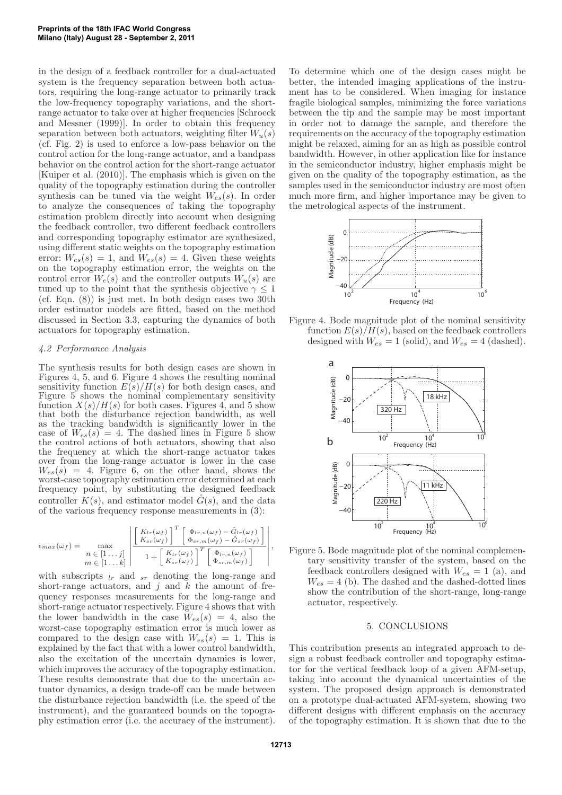in the design of a feedback controller for a dual-actuated system is the frequency separation between both actuators, requiring the long-range actuator to primarily track the low-frequency topography variations, and the shortrange actuator to take over at higher frequencies [Schroeck and Messner (1999)]. In order to obtain this frequency separation between both actuators, weighting filter  $W_u(s)$ (cf. Fig. 2) is used to enforce a low-pass behavior on the control action for the long-range actuator, and a bandpass behavior on the control action for the short-range actuator [Kuiper et al. (2010)]. The emphasis which is given on the quality of the topography estimation during the controller synthesis can be tuned via the weight  $W_{es}(s)$ . In order to analyze the consequences of taking the topography estimation problem directly into account when designing the feedback controller, two different feedback controllers and corresponding topography estimator are synthesized, using different static weights on the topography estimation error:  $W_{es}(s) = 1$ , and  $W_{es}(s) = 4$ . Given these weights on the topography estimation error, the weights on the control error  $W_e(s)$  and the controller outputs  $W_u(s)$  are tuned up to the point that the synthesis objective  $\gamma < 1$ (cf. Eqn. (8)) is just met. In both design cases two 30th order estimator models are fitted, based on the method discussed in Section 3.3, capturing the dynamics of both actuators for topography estimation.

## 4.2 Performance Analysis

The synthesis results for both design cases are shown in Figures 4, 5, and 6. Figure 4 shows the resulting nominal sensitivity function  $E(s)/H(s)$  for both design cases, and Figure 5 shows the nominal complementary sensitivity function  $X(s)/H(s)$  for both cases. Figures 4, and 5 show that both the disturbance rejection bandwidth, as well as the tracking bandwidth is significantly lower in the case of  $W_{es}(s) = 4$ . The dashed lines in Figure 5 show the control actions of both actuators, showing that also the frequency at which the short-range actuator takes over from the long-range actuator is lower in the case  $W_{es}(s) = 4$ . Figure 6, on the other hand, shows the worst-case topography estimation error determined at each frequency point, by substituting the designed feedback controller  $K(s)$ , and estimator model  $G(s)$ , and the data of the various frequency response measurements in (3):

$$
\epsilon_{max}(\omega_f) = \max_{\begin{array}{l} n \in [1...b] \\ m \in [1...b] \end{array}} \left| \frac{\begin{bmatrix} K_{lr}(\omega_f) \\ K_{sr}(\omega_f) \end{bmatrix}^T \begin{bmatrix} \Phi_{lr,n}(\omega_f) - \hat{G}_{lr}(\omega_f) \\ \Phi_{sr,m}(\omega_f) - \hat{G}_{sr}(\omega_f) \end{bmatrix}}{1 + \begin{bmatrix} K_{lr}(\omega_f) \\ K_{sr}(\omega_f) \end{bmatrix}^T \begin{bmatrix} \Phi_{lr,n}(\omega_f) \\ \Phi_{sr,n}(\omega_f) \end{bmatrix}} \right|,
$$

with subscripts  $l_r$  and  $sr$  denoting the long-range and short-range actuators, and j and  $\check{k}$  the amount of frequency responses measurements for the long-range and short-range actuator respectively. Figure 4 shows that with the lower bandwidth in the case  $W_{es}(s) = 4$ , also the worst-case topography estimation error is much lower as compared to the design case with  $W_{es}(s) = 1$ . This is explained by the fact that with a lower control bandwidth, also the excitation of the uncertain dynamics is lower, which improves the accuracy of the topography estimation. These results demonstrate that due to the uncertain actuator dynamics, a design trade-off can be made between the disturbance rejection bandwidth (i.e. the speed of the instrument), and the guaranteed bounds on the topography estimation error (i.e. the accuracy of the instrument).

To determine which one of the design cases might be better, the intended imaging applications of the instrument has to be considered. When imaging for instance fragile biological samples, minimizing the force variations between the tip and the sample may be most important in order not to damage the sample, and therefore the requirements on the accuracy of the topography estimation might be relaxed, aiming for an as high as possible control bandwidth. However, in other application like for instance in the semiconductor industry, higher emphasis might be given on the quality of the topography estimation, as the samples used in the semiconductor industry are most often much more firm, and higher importance may be given to the metrological aspects of the instrument.



Figure 4. Bode magnitude plot of the nominal sensitivity function  $E(s)/H(s)$ , based on the feedback controllers designed with  $W_{es} = 1$  (solid), and  $W_{es} = 4$  (dashed).



Figure 5. Bode magnitude plot of the nominal complementary sensitivity transfer of the system, based on the feedback controllers designed with  $W_{es} = 1$  (a), and  $W_{es} = 4$  (b). The dashed and the dashed-dotted lines show the contribution of the short-range, long-range actuator, respectively.

## 5. CONCLUSIONS

This contribution presents an integrated approach to design a robust feedback controller and topography estimator for the vertical feedback loop of a given AFM-setup, taking into account the dynamical uncertainties of the system. The proposed design approach is demonstrated on a prototype dual-actuated AFM-system, showing two different designs with different emphasis on the accuracy of the topography estimation. It is shown that due to the